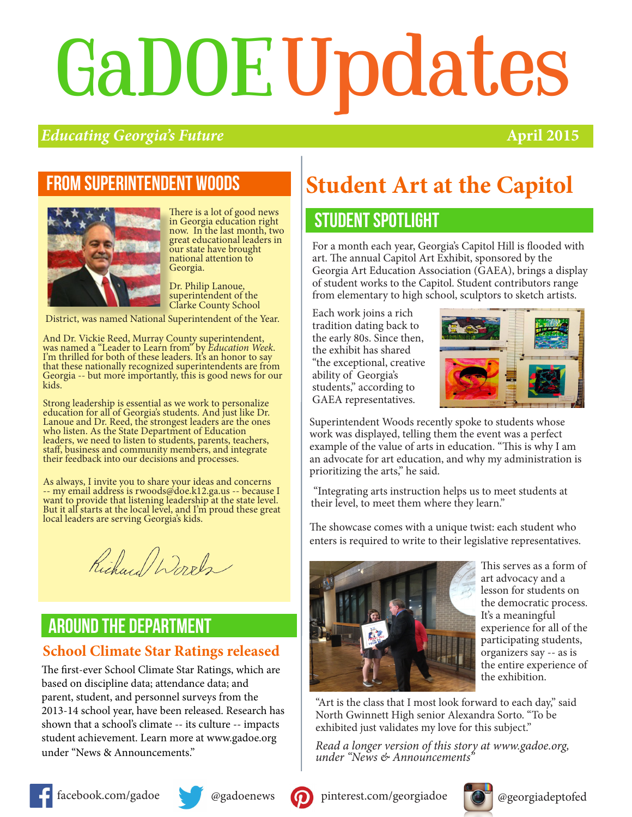# GaDOEUpdates

#### *Educating Georgia's Future* **April 2015**

#### From superintendent woods



There is a lot of good news in Georgia education right now. In the last month, two great educational leaders in our state have brought national attention to Georgia.

Dr. Philip Lanoue, superintendent of the Clarke County School

District, was named National Superintendent of the Year.

And Dr. Vickie Reed, Murray County superintendent, was named a "Leader to Learn from" by *Education Week*. I'm thrilled for both of these leaders. It's an honor to say that these nationally recognized superintendents are from Georgia -- but more importantly, this is good news for our kids.

Strong leadership is essential as we work to personalize education for all of Georgia's students. And just like Dr. Lanoue and Dr. Reed, the strongest leaders are the ones who listen. As the State Department of Education leaders, we need to listen to students, parents, teachers, staff, business and community members, and integrate their feedback into our decisions and processes.

As always, I invite you to share your ideas and concerns -- my email address is rwoods@doe.k12.ga.us -- because I want to provide that listening leadership at the state level. But it all starts at the local level, and I'm proud these great local leaders are serving Georgia's kids.

Richard Words

#### around the department

#### **School Climate Star Ratings released**

The first-ever School Climate Star Ratings, which are based on discipline data; attendance data; and parent, student, and personnel surveys from the 2013-14 school year, have been released. Research has shown that a school's climate -- its culture -- impacts student achievement. Learn more at www.gadoe.org under "News & Announcements."

### **Student Art at the Capitol**

#### STUDENT spotlight

For a month each year, Georgia's Capitol Hill is flooded with art. The annual Capitol Art Exhibit, sponsored by the Georgia Art Education Association (GAEA), brings a display of student works to the Capitol. Student contributors range from elementary to high school, sculptors to sketch artists.

Each work joins a rich tradition dating back to the early 80s. Since then, the exhibit has shared "the exceptional, creative ability of Georgia's students," according to GAEA representatives.



Superintendent Woods recently spoke to students whose work was displayed, telling them the event was a perfect example of the value of arts in education. "This is why I am an advocate for art education, and why my administration is prioritizing the arts," he said.

 "Integrating arts instruction helps us to meet students at their level, to meet them where they learn."

The showcase comes with a unique twist: each student who enters is required to write to their legislative representatives.



This serves as a form of art advocacy and a lesson for students on the democratic process. It's a meaningful experience for all of the participating students, organizers say -- as is the entire experience of the exhibition.

"Art is the class that I most look forward to each day," said North Gwinnett High senior Alexandra Sorto. "To be exhibited just validates my love for this subject."

*Read a longer version of this story at www.gadoe.org, under "News & Announcements"*